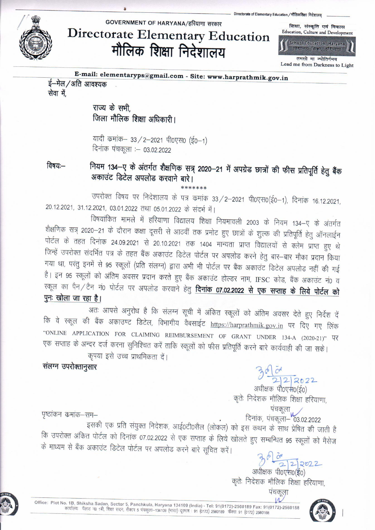

## GOVERNMENT OF HARYANA/हरियाणा सरकार

**Directorate Elementary Education** मौलिक शिक्षा निदेशालय

Education, Culture and Development **School Education, Haryana** वेद्यालय शिक्षा, हरियाण

शिक्षा, संस्कृति एवं विकास

तमसो मा ज्योतिर्गमय Lead me from Darkness to Light

E-mail: elementaryps@gmail.com - Site: www.harprathmik.gov.in ई—मेल / अति आवश्यक सेवा में,

> राज्य के सभी जिला मौलिक शिक्षा अधिकारी।

यादी कमांक– 33 / 2–2021 पी0एस0 (ई0–1) दिनांक पंचकूला : 03.02.2022

विषयः $-$ 

नियम 134–ए के अंतर्गत शैक्षणिक सत्र् 2020–21 में अपग्रेड छात्रों की फीस प्रतिपूर्ति हेतु बैंक अकाउंट डिटेल अपलोड करवाने बारे।

उपरोक्त विषय पर निदेशालय के पत्र कमांक 33/2-2021 पी0एस0(ई0-1), दिनांक 16.12.2021, 20.12.2021, 31.12.2021, 03.01.2022 तथा 05.01.2022 के संदर्भ में।

विषयांकित मामले में हरियाणा विद्यालय शिक्षा नियमावली 2003 के नियम 134–ए के अंतर्गत शैक्षणिक सत्र् 2020–21 के दौरान कक्षा दूसरी से आठवीं तक प्रमोट हुए छात्रों के शुल्क की प्रतिपूर्ति हेतु ऑनलाईन पोर्टल के तहत दिनांक 24.09.2021 से 20.10.2021 तक 1404 मान्यता प्राप्त विद्यालयों से क्लेम प्राप्त हुए थे जिन्हें उपरोक्त संदर्भित पत्र के तहत बैंक अकाउंट डिटेल पोर्टल पर अपलोड करने हेतु बार-बार मौका प्रदान किया गया था, परंतु इनमें से 95 स्कूलों (प्रति संलग्न) द्वारा अभी भी पोर्टल पर बैंक अकाउंट डिटेल अपलोड नहीं की गई है। इन 95 स्कूलों को अंतिम अवसर प्रदान करते हुए बैंक अकाउंट होल्डर नाम, IFSC कोड, बैंक अकाउंट नं0 व स्कूल का पैन/टैन नं0 पोर्टल पर अपलोड करवाने हेतु **दिनांक 07.02.2022 से एक सप्ताह के लिये पोर्टल को** पुनः खोला जा रहा है।

अतः आपसे अनुरोध है कि संलग्न सूची में अंकित स्कूलों को अंतिम अवसर देते हुए निर्देश दें कि वे स्कूल की बैंक अकाउण्ट डिटेल, विभागीय वैबसाईट https://harprathmik.gov.in पर दिए गए लिंक "ONLINE APPLICATION FOR CLAIMING REIMBURSEMENT OF GRANT UNDER 134-A (2020-21)" UN एक सप्ताह के अन्दर दर्ज करना सुनिश्चित करें ताकि स्कूलों को फीस प्रतिपूर्ति करने बारे कार्यवाही की जा सके।

कृपया इसे उच्च प्राथमिकता दें।

संलग्न उपरोक्तानुसार

कृतेः निदेशक मौलिक शिक्षा हरियाणा, पंचकूला<br>दिनांक, पंचकूला– 03.02.2022

पृष्ठांकन कमांक–सम–

इसकी एक प्रति संयुक्त निदेशक, आई0टी0सैल (लोकल) को इस कथन के साथ प्रेषित की जाती है कि उपरोक्त अंकित पोर्टल को दिनांक 07.02.2022 से एक सप्ताह के लिये खोलते हुए सम्बन्धित 95 स्कूलों को मैसेज के माध्यम से बैंक अकाउंट डिटेल पोर्टल पर अपलोड करने बारे सूचित करें।

 $3622$ <br>अधीक्षक पी0एस0(ई0)

कृतेः निदेशक मौलिक शिक्षा हरियाणा,



Office: Plot No. 1B, Shiksha Sadan, Sector 5, Panchkula, Haryana 134109 (India) - Tel: 91(0172)-2560189 Fax: 91(0172)-2560188 o. 16, Stilkstid Saudri, Sector S. Fanctikula, Franzana 194109 (मायाब) - Tel. Stilb (April 1957) प्रश्न Still,<br>कार्यालयः पॅलाट न0 1बी, शिक्षा सदन, सैक्टर 5 पंचकुला–134109 (मारत) दूरमाष : 91 (0172) 2560189 फैक्स: 91 (017

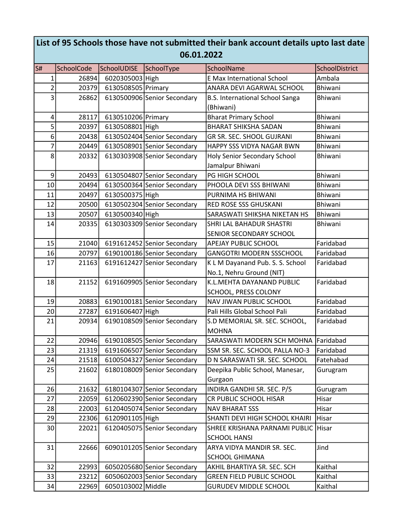| List of 95 Schools those have not submitted their bank account details upto last date<br>06.01.2022 |            |                    |                             |                                            |                |  |  |
|-----------------------------------------------------------------------------------------------------|------------|--------------------|-----------------------------|--------------------------------------------|----------------|--|--|
| S#                                                                                                  | SchoolCode | SchoolUDISE        | SchoolType                  | SchoolName                                 | SchoolDistrict |  |  |
| $\mathbf 1$                                                                                         | 26894      | 6020305003 High    |                             | <b>E Max International School</b>          | Ambala         |  |  |
| $\overline{c}$                                                                                      | 20379      | 6130508505 Primary |                             | ANARA DEVI AGARWAL SCHOOL                  | Bhiwani        |  |  |
| 3                                                                                                   | 26862      |                    | 6130500906 Senior Secondary | B.S. International School Sanga            | Bhiwani        |  |  |
|                                                                                                     |            |                    |                             | (Bhiwani)                                  |                |  |  |
| 4                                                                                                   | 28117      | 6130510206 Primary |                             | <b>Bharat Primary School</b>               | <b>Bhiwani</b> |  |  |
| 5                                                                                                   | 20397      | 6130508801 High    |                             | <b>BHARAT SHIKSHA SADAN</b>                | Bhiwani        |  |  |
| 6                                                                                                   | 20438      |                    | 6130502404 Senior Secondary | <b>GR SR. SEC. SHOOL GUJRANI</b>           | Bhiwani        |  |  |
| $\overline{7}$                                                                                      | 20449      |                    | 6130508901 Senior Secondary | <b>HAPPY SSS VIDYA NAGAR BWN</b>           | <b>Bhiwani</b> |  |  |
| 8                                                                                                   | 20332      |                    | 6130303908 Senior Secondary | <b>Holy Senior Secondary School</b>        | Bhiwani        |  |  |
|                                                                                                     |            |                    |                             | Jamalpur Bhiwani                           |                |  |  |
| 9                                                                                                   | 20493      |                    | 6130504807 Senior Secondary | PG HIGH SCHOOL                             | Bhiwani        |  |  |
| 10                                                                                                  | 20494      |                    | 6130500364 Senior Secondary | PHOOLA DEVI SSS BHIWANI                    | <b>Bhiwani</b> |  |  |
| 11                                                                                                  | 20497      | 6130500375 High    |                             | PURNIMA HS BHIWANI                         | <b>Bhiwani</b> |  |  |
| 12                                                                                                  | 20500      |                    | 6130502304 Senior Secondary | <b>RED ROSE SSS GHUSKANI</b>               | Bhiwani        |  |  |
| 13                                                                                                  | 20507      | 6130500340 High    |                             | SARASWATI SHIKSHA NIKETAN HS               | <b>Bhiwani</b> |  |  |
| 14                                                                                                  | 20335      |                    | 6130303309 Senior Secondary | SHRI LAL BAHADUR SHASTRI                   | Bhiwani        |  |  |
|                                                                                                     |            |                    |                             | <b>SENIOR SECONDARY SCHOOL</b>             |                |  |  |
| 15                                                                                                  | 21040      |                    | 6191612452 Senior Secondary | <b>APEJAY PUBLIC SCHOOL</b>                | Faridabad      |  |  |
| 16                                                                                                  | 20797      |                    | 6190100186 Senior Secondary | <b>GANGOTRI MODERN SSSCHOOL</b>            | Faridabad      |  |  |
| 17                                                                                                  | 21163      |                    | 6191612427 Senior Secondary | K L M Dayanand Pub. S. S. School           | Faridabad      |  |  |
|                                                                                                     |            |                    |                             | No.1, Nehru Ground (NIT)                   |                |  |  |
| 18                                                                                                  | 21152      |                    | 6191609905 Senior Secondary | K.L.MEHTA DAYANAND PUBLIC                  | Faridabad      |  |  |
|                                                                                                     |            |                    |                             | <b>SCHOOL, PRESS COLONY</b>                |                |  |  |
| 19                                                                                                  | 20883      |                    | 6190100181 Senior Secondary | NAV JIWAN PUBLIC SCHOOL                    | Faridabad      |  |  |
| 20                                                                                                  | 27287      | 6191606407 High    |                             | Pali Hills Global School Pali              | Faridabad      |  |  |
| 21                                                                                                  | 20934      |                    | 6190108509 Senior Secondary | S.D MEMORIAL SR. SEC. SCHOOL,              | Faridabad      |  |  |
|                                                                                                     |            |                    |                             | MOHNA                                      |                |  |  |
| 22                                                                                                  | 20946      |                    | 6190108505 Senior Secondary | SARASWATI MODERN SCH MOHNA                 | Faridabad      |  |  |
| 23                                                                                                  | 21319      |                    | 6191606507 Senior Secondary | SSM SR. SEC. SCHOOL PALLA NO-3             | Faridabad      |  |  |
| 24                                                                                                  | 21518      |                    | 6100504327 Senior Secondary | D N SARASWATI SR. SEC. SCHOOL              | Fatehabad      |  |  |
| 25                                                                                                  | 21602      |                    | 6180108009 Senior Secondary | Deepika Public School, Manesar,<br>Gurgaon | Gurugram       |  |  |
| 26                                                                                                  | 21632      |                    | 6180104307 Senior Secondary | INDIRA GANDHI SR. SEC. P/S                 | Gurugram       |  |  |
| 27                                                                                                  | 22059      |                    | 6120602390 Senior Secondary | CR PUBLIC SCHOOL HISAR                     | Hisar          |  |  |
| 28                                                                                                  | 22003      |                    | 6120405074 Senior Secondary | <b>NAV BHARAT SSS</b>                      | Hisar          |  |  |
| 29                                                                                                  | 22306      | 6120901105 High    |                             | SHANTI DEVI HIGH SCHOOL KHAIRI             | Hisar          |  |  |
| 30                                                                                                  | 22021      |                    | 6120405075 Senior Secondary | SHREE KRISHANA PARNAMI PUBLIC              | <b>Hisar</b>   |  |  |
|                                                                                                     |            |                    |                             | <b>SCHOOL HANSI</b>                        |                |  |  |
| 31                                                                                                  | 22666      |                    | 6090101205 Senior Secondary | ARYA VIDYA MANDIR SR. SEC.                 | Jind           |  |  |
|                                                                                                     |            |                    |                             | <b>SCHOOL GHIMANA</b>                      |                |  |  |
| 32                                                                                                  | 22993      |                    | 6050205680 Senior Secondary | AKHIL BHARTIYA SR. SEC. SCH                | Kaithal        |  |  |
| 33                                                                                                  | 23212      |                    | 6050602003 Senior Secondary | <b>GREEN FIELD PUBLIC SCHOOL</b>           | Kaithal        |  |  |
| 34                                                                                                  | 22969      | 6050103002 Middle  |                             | <b>GURUDEV MIDDLE SCHOOL</b>               | Kaithal        |  |  |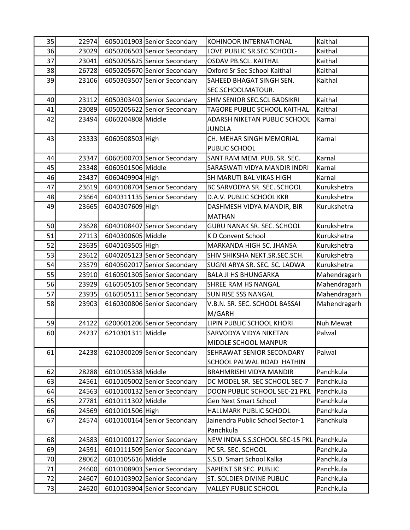| 35 | 22974 |                   | 6050101903 Senior Secondary | KOHINOOR INTERNATIONAL           | Kaithal          |
|----|-------|-------------------|-----------------------------|----------------------------------|------------------|
| 36 | 23029 |                   | 6050206503 Senior Secondary | LOVE PUBLIC SR.SEC.SCHOOL-       | Kaithal          |
| 37 | 23041 |                   | 6050205625 Senior Secondary | <b>OSDAV PB.SCL. KAITHAL</b>     | Kaithal          |
| 38 | 26728 |                   | 6050205670 Senior Secondary | Oxford Sr Sec School Kaithal     | Kaithal          |
| 39 | 23106 |                   | 6050303507 Senior Secondary | SAHEED BHAGAT SINGH SEN.         | Kaithal          |
|    |       |                   |                             | SEC.SCHOOLMATOUR.                |                  |
| 40 | 23112 |                   | 6050303403 Senior Secondary | SHIV SENIOR SEC.SCL BADSIKRI     | Kaithal          |
| 41 | 23089 |                   | 6050205622 Senior Secondary | TAGORE PUBLIC SCHOOL KAITHAL     | Kaithal          |
| 42 | 23494 | 6060204808 Middle |                             | ADARSH NIKETAN PUBLIC SCHOOL     | Karnal           |
|    |       |                   |                             | <b>JUNDLA</b>                    |                  |
| 43 | 23333 | 6060508503 High   |                             | CH. MEHAR SINGH MEMORIAL         | Karnal           |
|    |       |                   |                             | PUBLIC SCHOOL                    |                  |
| 44 | 23347 |                   | 6060500703 Senior Secondary | SANT RAM MEM. PUB. SR. SEC.      | Karnal           |
| 45 | 23348 | 6060501506 Middle |                             | SARASWATI VIDYA MANDIR INDRI     | Karnal           |
| 46 | 23437 | 6060409904 High   |                             | SH MARUTI BAL VIKAS HIGH         | Karnal           |
| 47 | 23619 |                   | 6040108704 Senior Secondary | BC SARVODYA SR. SEC. SCHOOL      | Kurukshetra      |
| 48 | 23664 |                   | 6040311135 Senior Secondary | D.A.V. PUBLIC SCHOOL KKR         | Kurukshetra      |
| 49 | 23665 | 6040307609 High   |                             | DASHMESH VIDYA MANDIR, BIR       | Kurukshetra      |
|    |       |                   |                             | <b>MATHAN</b>                    |                  |
| 50 | 23628 |                   | 6040108407 Senior Secondary | GURU NANAK SR. SEC. SCHOOL       | Kurukshetra      |
| 51 | 27113 | 6040300605 Middle |                             | K D Convent School               | Kurukshetra      |
| 52 | 23635 | 6040103505 High   |                             | MARKANDA HIGH SC. JHANSA         | Kurukshetra      |
| 53 | 23612 |                   | 6040205123 Senior Secondary | SHIV SHIKSHA NEKT.SR.SEC.SCH.    | Kurukshetra      |
| 54 | 23579 |                   | 6040502017 Senior Secondary | SUGNI ARYA SR. SEC. SC. LADWA    | Kurukshetra      |
| 55 | 23910 |                   | 6160501305 Senior Secondary | <b>BALA JI HS BHUNGARKA</b>      | Mahendragarh     |
| 56 | 23929 |                   | 6160505105 Senior Secondary | <b>SHREE RAM HS NANGAL</b>       | Mahendragarh     |
| 57 | 23935 |                   | 6160505111 Senior Secondary | <b>SUN RISE SSS NANGAL</b>       | Mahendragarh     |
| 58 | 23903 |                   | 6160300806 Senior Secondary | V.B.N. SR. SEC. SCHOOL BASSAI    | Mahendragarh     |
|    |       |                   |                             | M/GARH                           |                  |
| 59 | 24122 |                   | 6200601206 Senior Secondary | LIPIN PUBLIC SCHOOL KHORI        | <b>Nuh Mewat</b> |
| 60 | 24237 | 6210301311 Middle |                             | SARVODYA VIDYA NIKETAN           | Palwal           |
|    |       |                   |                             | MIDDLE SCHOOL MANPUR             |                  |
| 61 | 24238 |                   | 6210300209 Senior Secondary | <b>SEHRAWAT SENIOR SECONDARY</b> | Palwal           |
|    |       |                   |                             | SCHOOL PALWAL ROAD HATHIN        |                  |
| 62 | 28288 | 6010105338 Middle |                             | <b>BRAHMRISHI VIDYA MANDIR</b>   | Panchkula        |
| 63 | 24561 |                   | 6010105002 Senior Secondary | DC MODEL SR. SEC SCHOOL SEC-7    | Panchkula        |
| 64 | 24563 |                   | 6010100132 Senior Secondary | DOON PUBLIC SCHOOL SEC-21 PKL    | Panchkula        |
| 65 | 27781 | 6010111302 Middle |                             | <b>Gen Next Smart School</b>     | Panchkula        |
| 66 | 24569 | 6010101506 High   |                             | HALLMARK PUBLIC SCHOOL           | Panchkula        |
| 67 | 24574 |                   | 6010100164 Senior Secondary | Jainendra Public School Sector-1 | Panchkula        |
|    |       |                   |                             | Panchkula                        |                  |
| 68 | 24583 |                   | 6010100127 Senior Secondary | NEW INDIA S.S.SCHOOL SEC-15 PKL  | Panchkula        |
| 69 | 24591 |                   | 6010111509 Senior Secondary | PC SR. SEC. SCHOOL               | Panchkula        |
| 70 | 28062 | 6010105616 Middle |                             | S.S.D. Smart School Kalka        | Panchkula        |
| 71 | 24600 |                   | 6010108903 Senior Secondary | SAPIENT SR SEC. PUBLIC           | Panchkula        |
| 72 | 24607 |                   | 6010103902 Senior Secondary | <b>ST. SOLDIER DIVINE PUBLIC</b> | Panchkula        |
| 73 | 24620 |                   | 6010103904 Senior Secondary | VALLEY PUBLIC SCHOOL             | Panchkula        |